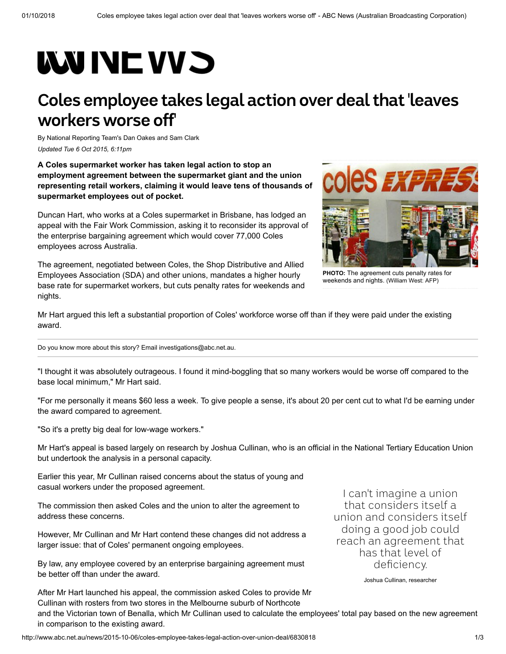## **WUNEWS**

## **Coles employee takes legal action over deal that 'leaves workers worse off'**

By National Reporting Team's [Dan Oakes](http://www.abc.net.au/news/dan-oakes/5618988) and [Sam Clark](http://www.abc.net.au/news/sam-clark/6539070) *Updated Tue 6 Oct 2015, 6:11pm*

**A Coles supermarket worker has taken legal action to stop an employment agreement between the supermarket giant and the union representing retail workers, claiming it would leave tens of thousands of supermarket employees out of pocket.**

Duncan Hart, who works at a Coles supermarket in Brisbane, has lodged an appeal with the Fair Work Commission, asking it to reconsider its approval of the enterprise bargaining agreement which would cover 77,000 Coles employees across Australia.

The agreement, negotiated between Coles, the Shop Distributive and Allied Employees Association (SDA) and other unions, mandates a higher hourly base rate for supermarket workers, but cuts penalty rates for weekends and nights.



**PHOTO:** [The agreement cuts penalty rates for](http://www.abc.net.au/news/2015-10-06/coles-express/6830968) weekends and nights. (William West: AFP)

Mr Hart argued this left a substantial proportion of Coles' workforce worse off than if they were paid under the existing award.

Do you know more about this story? Email [investigations@abc.net.au.](mailto:investigations@abc.net.au)

"I thought it was absolutely outrageous. I found it mind-boggling that so many workers would be worse off compared to the base local minimum," Mr Hart said.

"For me personally it means \$60 less a week. To give people a sense, it's about 20 per cent cut to what I'd be earning under the award compared to agreement.

"So it's a pretty big deal for low-wage workers."

Mr Hart's appeal is based largely on research by Joshua Cullinan, who is an official in the National Tertiary Education Union but undertook the analysis in a personal capacity.

Earlier this year, Mr Cullinan raised concerns about the status of young and casual workers under the proposed agreement.

The commission then asked Coles and the union to alter the agreement to address these concerns.

However, Mr Cullinan and Mr Hart contend these changes did not address a larger issue: that of Coles' permanent ongoing employees.

By law, any employee covered by an enterprise bargaining agreement must be better off than under the award.

After Mr Hart launched his appeal, the commission asked Coles to provide Mr Cullinan with rosters from two stores in the Melbourne suburb of Northcote

I can't imagine a union that considers itself a union and considers itself doing a good job could reach an agreement that has that level of deficiency.

Joshua Cullinan, researcher

and the Victorian town of Benalla, which Mr Cullinan used to calculate the employees' total pay based on the new agreement in comparison to the existing award.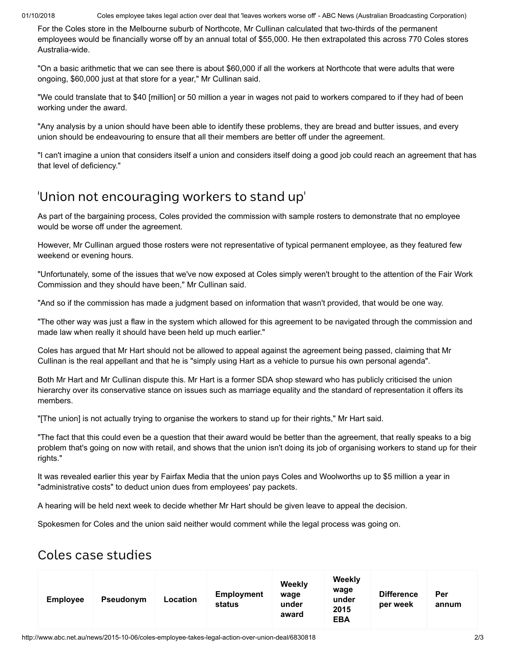01/10/2018 Coles employee takes legal action over deal that 'leaves workers worse off' - ABC News (Australian Broadcasting Corporation)

For the Coles store in the Melbourne suburb of Northcote, Mr Cullinan calculated that two-thirds of the permanent employees would be financially worse off by an annual total of \$55,000. He then extrapolated this across 770 Coles stores Australia-wide.

"On a basic arithmetic that we can see there is about \$60,000 if all the workers at Northcote that were adults that were ongoing, \$60,000 just at that store for a year," Mr Cullinan said.

"We could translate that to \$40 [million] or 50 million a year in wages not paid to workers compared to if they had of been working under the award.

"Any analysis by a union should have been able to identify these problems, they are bread and butter issues, and every union should be endeavouring to ensure that all their members are better off under the agreement.

"I can't imagine a union that considers itself a union and considers itself doing a good job could reach an agreement that has that level of deficiency."

## 'Union not encouraging workers to stand up'

As part of the bargaining process, Coles provided the commission with sample rosters to demonstrate that no employee would be worse off under the agreement.

However, Mr Cullinan argued those rosters were not representative of typical permanent employee, as they featured few weekend or evening hours.

"Unfortunately, some of the issues that we've now exposed at Coles simply weren't brought to the attention of the Fair Work Commission and they should have been," Mr Cullinan said.

"And so if the commission has made a judgment based on information that wasn't provided, that would be one way.

"The other way was just a flaw in the system which allowed for this agreement to be navigated through the commission and made law when really it should have been held up much earlier."

Coles has argued that Mr Hart should not be allowed to appeal against the agreement being passed, claiming that Mr Cullinan is the real appellant and that he is "simply using Hart as a vehicle to pursue his own personal agenda".

Both Mr Hart and Mr Cullinan dispute this. Mr Hart is a former SDA shop steward who has publicly criticised the union hierarchy over its conservative stance on issues such as marriage equality and the standard of representation it offers its members.

"[The union] is not actually trying to organise the workers to stand up for their rights," Mr Hart said.

"The fact that this could even be a question that their award would be better than the agreement, that really speaks to a big problem that's going on now with retail, and shows that the union isn't doing its job of organising workers to stand up for their rights."

It was revealed earlier this year by Fairfax Media that the union pays Coles and Woolworths up to \$5 million a year in "administrative costs" to deduct union dues from employees' pay packets.

A hearing will be held next week to decide whether Mr Hart should be given leave to appeal the decision.

Spokesmen for Coles and the union said neither would comment while the legal process was going on.

## Coles case studies

| <b>Employee</b> | Pseudonym | Location | <b>Employment</b><br>status | Weekly<br>wage<br>under<br>award | Weekly<br>wage<br>under<br>2015<br><b>EBA</b> | <b>Difference</b><br>per week | Per<br>annum |  |
|-----------------|-----------|----------|-----------------------------|----------------------------------|-----------------------------------------------|-------------------------------|--------------|--|
|-----------------|-----------|----------|-----------------------------|----------------------------------|-----------------------------------------------|-------------------------------|--------------|--|